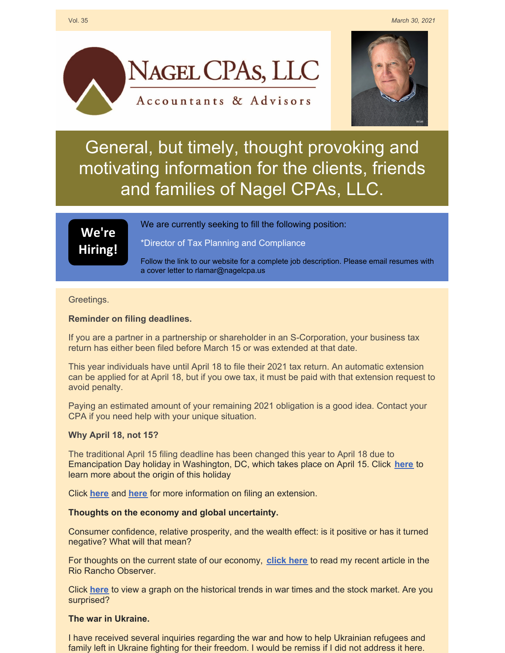



# General, but timely, thought provoking and motivating information for the clients, friends and families of Nagel CPAs, LLC.

## **We're [Hiring!](https://www.nagelcpa.us/employment.php)**

We are currently seeking to fill the following position:

\*Director of Tax Planning and Compliance

Follow the link to our website for a complete job description. Please email resumes with a cover letter to rlamar@nagelcpa.us

#### Greetings.

### **Reminder on filing deadlines.**

If you are a partner in a partnership or shareholder in an S-Corporation, your business tax return has either been filed before March 15 or was extended at that date.

This year individuals have until April 18 to file their 2021 tax return. An automatic extension can be applied for at April 18, but if you owe tax, it must be paid with that extension request to avoid penalty.

Paying an estimated amount of your remaining 2021 obligation is a good idea. Contact your CPA if you need help with your unique situation.

### **Why April 18, not 15?**

The traditional April 15 filing deadline has been changed this year to April 18 due to Emancipation Day holiday in Washington, DC, which takes place on April 15. Click **[here](https://www.timeanddate.com/holidays/us/emancipation-day-dc?hc_location=ufi)** to learn more about the origin of this holiday

Click **[here](https://files.constantcontact.com/ad36e42d701/170995ec-151b-49c0-b033-89c68b5d7fd2.pdf?rdr=true)** and **[here](https://files.constantcontact.com/ad36e42d701/45373ed0-7d4b-4513-bd7d-2d55ff94cdeb.pdf?rdr=true)** for more information on filing an extension.

### **Thoughts on the economy and global uncertainty.**

Consumer confidence, relative prosperity, and the wealth effect: is it positive or has it turned negative? What will that mean?

For thoughts on the current state of our economy, **[click](https://files.constantcontact.com/ad36e42d701/9a5c68fa-bb91-458c-aed8-d75f77683899.pdf?rdr=true) here** to read my recent article in the Rio Rancho Observer.

Click **[here](https://files.constantcontact.com/ad36e42d701/756f97f4-e3b9-4503-a7dd-cc67ced02e11.pdf?rdr=true)** to view a graph on the historical trends in war times and the stock market. Are you surprised?

### **The war in Ukraine.**

I have received several inquiries regarding the war and how to help Ukrainian refugees and family left in Ukraine fighting for their freedom. I would be remiss if I did not address it here.